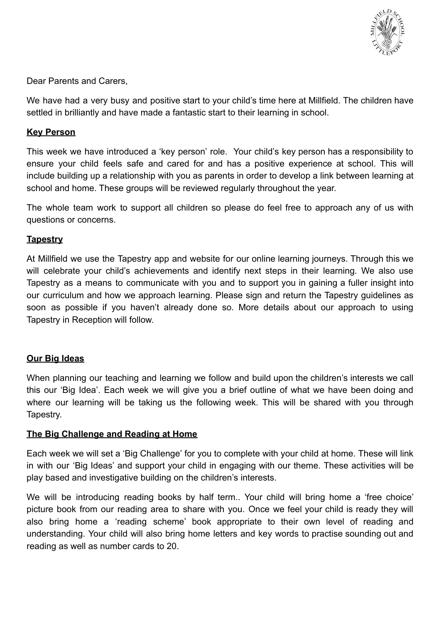

Dear Parents and Carers,

We have had a very busy and positive start to your child's time here at Millfield. The children have settled in brilliantly and have made a fantastic start to their learning in school.

### **Key Person**

This week we have introduced a 'key person' role. Your child's key person has a responsibility to ensure your child feels safe and cared for and has a positive experience at school. This will include building up a relationship with you as parents in order to develop a link between learning at school and home. These groups will be reviewed regularly throughout the year.

The whole team work to support all children so please do feel free to approach any of us with questions or concerns.

# **Tapestry**

At Millfield we use the Tapestry app and website for our online learning journeys. Through this we will celebrate your child's achievements and identify next steps in their learning. We also use Tapestry as a means to communicate with you and to support you in gaining a fuller insight into our curriculum and how we approach learning. Please sign and return the Tapestry guidelines as soon as possible if you haven't already done so. More details about our approach to using Tapestry in Reception will follow.

#### **Our Big Ideas**

When planning our teaching and learning we follow and build upon the children's interests we call this our 'Big Idea'. Each week we will give you a brief outline of what we have been doing and where our learning will be taking us the following week. This will be shared with you through Tapestry.

#### **The Big Challenge and Reading at Home**

Each week we will set a 'Big Challenge' for you to complete with your child at home. These will link in with our 'Big Ideas' and support your child in engaging with our theme. These activities will be play based and investigative building on the children's interests.

We will be introducing reading books by half term.. Your child will bring home a 'free choice' picture book from our reading area to share with you. Once we feel your child is ready they will also bring home a 'reading scheme' book appropriate to their own level of reading and understanding. Your child will also bring home letters and key words to practise sounding out and reading as well as number cards to 20.